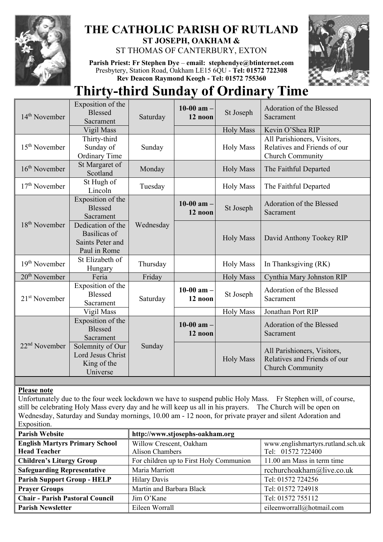

# **THE CATHOLIC PARISH OF RUTLAND ST JOSEPH, OAKHAM &**

ST THOMAS OF CANTERBURY, EXTON

**Parish Priest: Fr Stephen Dye** – **[email: stephendye@btinternet.com](mailto:email:%20%20stephendye@btinternet.com)** Presbytery, Station Road, Oakham LE15 6QU - **Tel: 01572 722308 Rev Deacon Raymond Keogh - Tel: 01572 755360**



# **Thirty-third Sunday of Ordinary Time**

| $14th$ November           | Exposition of the<br><b>Blessed</b><br>Sacrament                      | Saturday  | 10-00 $am -$<br>12 noon | St Joseph        | Adoration of the Blessed<br>Sacrament                                                  |
|---------------------------|-----------------------------------------------------------------------|-----------|-------------------------|------------------|----------------------------------------------------------------------------------------|
|                           | Vigil Mass                                                            |           |                         | <b>Holy Mass</b> | Kevin O'Shea RIP                                                                       |
| $15th$ November           | Thirty-third<br>Sunday of<br>Ordinary Time                            | Sunday    |                         | <b>Holy Mass</b> | All Parishioners, Visitors,<br>Relatives and Friends of our<br><b>Church Community</b> |
| $16th$ November           | St Margaret of<br>Scotland                                            | Monday    |                         | <b>Holy Mass</b> | The Faithful Departed                                                                  |
| $17th$ November           | St Hugh of<br>Lincoln                                                 | Tuesday   |                         | <b>Holy Mass</b> | The Faithful Departed                                                                  |
| 18 <sup>th</sup> November | Exposition of the<br><b>Blessed</b><br>Sacrament                      | Wednesday | 10-00 $am -$<br>12 noon | St Joseph        | Adoration of the Blessed<br>Sacrament                                                  |
|                           | Dedication of the<br>Basilicas of<br>Saints Peter and<br>Paul in Rome |           |                         | <b>Holy Mass</b> | David Anthony Tookey RIP                                                               |
| 19 <sup>th</sup> November | St Elizabeth of<br>Hungary                                            | Thursday  |                         | <b>Holy Mass</b> | In Thanksgiving (RK)                                                                   |
| $20th$ November           | Feria                                                                 | Friday    |                         | <b>Holy Mass</b> | Cynthia Mary Johnston RIP                                                              |
| $21st$ November           | Exposition of the<br><b>Blessed</b><br>Sacrament                      | Saturday  | 10-00 $am -$<br>12 noon | St Joseph        | Adoration of the Blessed<br>Sacrament                                                  |
|                           | Vigil Mass                                                            |           |                         | <b>Holy Mass</b> | Jonathan Port RIP                                                                      |
| $22nd$ November           | Exposition of the<br><b>Blessed</b><br>Sacrament                      | Sunday    | 10-00 $am -$<br>12 noon |                  | Adoration of the Blessed<br>Sacrament                                                  |
|                           | Solemnity of Our<br>Lord Jesus Christ<br>King of the<br>Universe      |           |                         | <b>Holy Mass</b> | All Parishioners, Visitors,<br>Relatives and Friends of our<br><b>Church Community</b> |

## **Please note**

Unfortunately due to the four week lockdown we have to suspend public Holy Mass. Fr Stephen will, of course, still be celebrating Holy Mass every day and he will keep us all in his prayers. The Church will be open on Wednesday, Saturday and Sunday mornings, 10.00 am - 12 noon, for private prayer and silent Adoration and Exposition.

| <b>Parish Website</b>                  | http://www.stjosephs-oakham.org         |                                   |  |  |
|----------------------------------------|-----------------------------------------|-----------------------------------|--|--|
| <b>English Martyrs Primary School</b>  | Willow Crescent, Oakham                 | www.englishmartyrs.rutland.sch.uk |  |  |
| <b>Head Teacher</b>                    | Alison Chambers                         | Tel: 01572 722400                 |  |  |
| <b>Children's Liturgy Group</b>        | For children up to First Holy Communion | 11.00 am Mass in term time        |  |  |
| <b>Safeguarding Representative</b>     | Maria Marriott                          | rcchurchoakham@live.co.uk         |  |  |
| <b>Parish Support Group - HELP</b>     | <b>Hilary Davis</b>                     | Tel: 01572 724256                 |  |  |
| <b>Prayer Groups</b>                   | Martin and Barbara Black                | Tel: 01572 724918                 |  |  |
| <b>Chair - Parish Pastoral Council</b> | Jim O'Kane                              | Tel: 01572 755112                 |  |  |
| <b>Parish Newsletter</b>               | Eileen Worrall                          | eileenworrall@hotmail.com         |  |  |